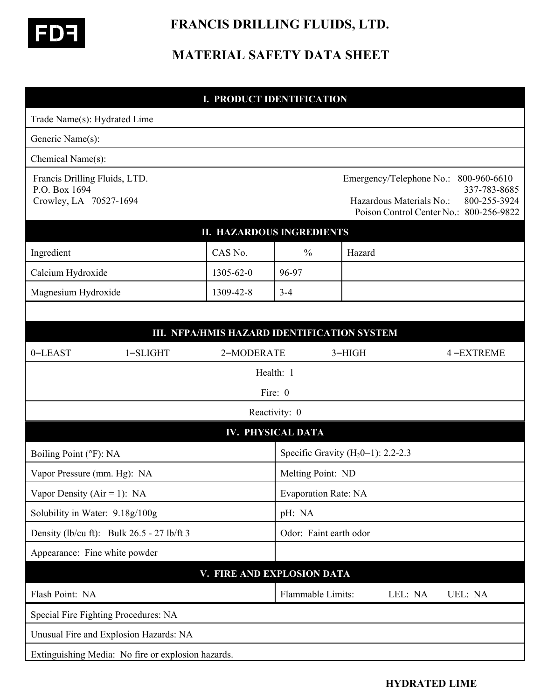

 **FRANCIS DRILLING FLUIDS, LTD.** 

# **MATERIAL SAFETY DATA SHEET**

#### **I. PRODUCT IDENTIFICATION**

| Trade Name(s): Hydrated Lime                                             |                                                    |                                             |                             |                                                      |         |                                                                                         |
|--------------------------------------------------------------------------|----------------------------------------------------|---------------------------------------------|-----------------------------|------------------------------------------------------|---------|-----------------------------------------------------------------------------------------|
| Generic Name(s):                                                         |                                                    |                                             |                             |                                                      |         |                                                                                         |
| Chemical Name(s):                                                        |                                                    |                                             |                             |                                                      |         |                                                                                         |
| Francis Drilling Fluids, LTD.<br>P.O. Box 1694<br>Crowley, LA 70527-1694 |                                                    |                                             |                             | Emergency/Telephone No.:<br>Hazardous Materials No.: |         | 800-960-6610<br>337-783-8685<br>800-255-3924<br>Poison Control Center No.: 800-256-9822 |
|                                                                          |                                                    | <b>II. HAZARDOUS INGREDIENTS</b>            |                             |                                                      |         |                                                                                         |
| Ingredient                                                               |                                                    | CAS No.                                     | $\frac{0}{0}$               | Hazard                                               |         |                                                                                         |
| Calcium Hydroxide                                                        |                                                    | 1305-62-0                                   | 96-97                       |                                                      |         |                                                                                         |
| Magnesium Hydroxide                                                      |                                                    | 1309-42-8                                   | $3 - 4$                     |                                                      |         |                                                                                         |
|                                                                          |                                                    |                                             |                             |                                                      |         |                                                                                         |
|                                                                          |                                                    | III. NFPA/HMIS HAZARD IDENTIFICATION SYSTEM |                             |                                                      |         |                                                                                         |
| 0=LEAST                                                                  | $1 = SLIGHT$                                       | 2=MODERATE                                  |                             | $3 = HIGH$                                           |         | $4 = EXTREME$                                                                           |
|                                                                          |                                                    |                                             | Health: 1                   |                                                      |         |                                                                                         |
|                                                                          |                                                    |                                             | Fire: 0                     |                                                      |         |                                                                                         |
|                                                                          |                                                    |                                             | Reactivity: 0               |                                                      |         |                                                                                         |
|                                                                          |                                                    |                                             | <b>IV. PHYSICAL DATA</b>    |                                                      |         |                                                                                         |
| Boiling Point (°F): NA                                                   |                                                    |                                             |                             | Specific Gravity ( $H_2$ 0=1): 2.2-2.3               |         |                                                                                         |
| Vapor Pressure (mm. Hg): NA                                              |                                                    |                                             | Melting Point: ND           |                                                      |         |                                                                                         |
| Vapor Density ( $Air = 1$ ): NA                                          |                                                    |                                             | <b>Evaporation Rate: NA</b> |                                                      |         |                                                                                         |
| Solubility in Water: 9.18g/100g                                          |                                                    |                                             | pH: NA                      |                                                      |         |                                                                                         |
| Density (lb/cu ft): Bulk $26.5 - 27$ lb/ft 3                             |                                                    |                                             | Odor: Faint earth odor      |                                                      |         |                                                                                         |
| Appearance: Fine white powder                                            |                                                    |                                             |                             |                                                      |         |                                                                                         |
|                                                                          |                                                    | V. FIRE AND EXPLOSION DATA                  |                             |                                                      |         |                                                                                         |
| Flash Point: NA                                                          |                                                    |                                             | Flammable Limits:           |                                                      | LEL: NA | UEL: NA                                                                                 |
|                                                                          | Special Fire Fighting Procedures: NA               |                                             |                             |                                                      |         |                                                                                         |
|                                                                          | Unusual Fire and Explosion Hazards: NA             |                                             |                             |                                                      |         |                                                                                         |
|                                                                          | Extinguishing Media: No fire or explosion hazards. |                                             |                             |                                                      |         |                                                                                         |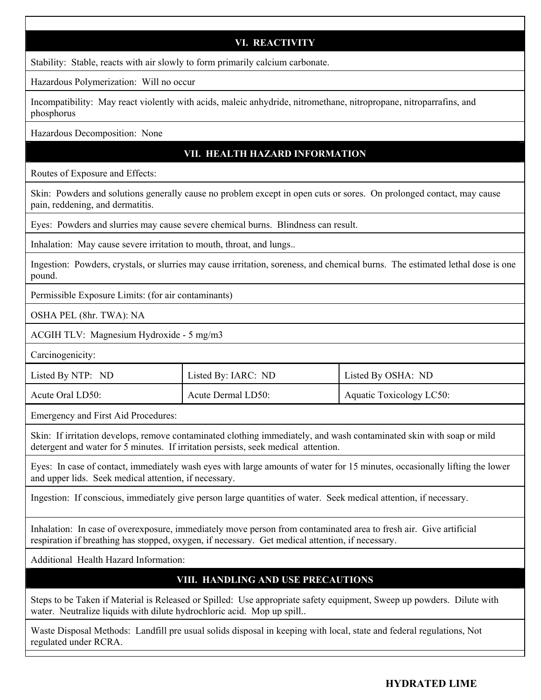## **VI. REACTIVITY**

Stability: Stable, reacts with air slowly to form primarily calcium carbonate.

Hazardous Polymerization: Will no occur

Incompatibility: May react violently with acids, maleic anhydride, nitromethane, nitropropane, nitroparrafins, and phosphorus

Hazardous Decomposition: None

## **VII. HEALTH HAZARD INFORMATION**

Routes of Exposure and Effects:

Skin: Powders and solutions generally cause no problem except in open cuts or sores. On prolonged contact, may cause pain, reddening, and dermatitis.

Eyes: Powders and slurries may cause severe chemical burns. Blindness can result.

Inhalation: May cause severe irritation to mouth, throat, and lungs...

Ingestion: Powders, crystals, or slurries may cause irritation, soreness, and chemical burns. The estimated lethal dose is one pound.

Permissible Exposure Limits: (for air contaminants)

OSHA PEL (8hr. TWA): NA

ACGIH TLV: Magnesium Hydroxide - 5 mg/m3

Carcinogenicity:

| Listed By NTP: ND | Listed By: IARC: ND | Listed By OSHA: ND              |
|-------------------|---------------------|---------------------------------|
| Acute Oral LD50:  | Acute Dermal LD50:  | <b>Aquatic Toxicology LC50:</b> |

Emergency and First Aid Procedures:

Skin: If irritation develops, remove contaminated clothing immediately, and wash contaminated skin with soap or mild detergent and water for 5 minutes. If irritation persists, seek medical attention.

Eyes: In case of contact, immediately wash eyes with large amounts of water for 15 minutes, occasionally lifting the lower and upper lids. Seek medical attention, if necessary.

Ingestion: If conscious, immediately give person large quantities of water. Seek medical attention, if necessary.

Inhalation: In case of overexposure, immediately move person from contaminated area to fresh air. Give artificial respiration if breathing has stopped, oxygen, if necessary. Get medical attention, if necessary.

Additional Health Hazard Information:

## **VIII. HANDLING AND USE PRECAUTIONS**

Steps to be Taken if Material is Released or Spilled: Use appropriate safety equipment, Sweep up powders. Dilute with water. Neutralize liquids with dilute hydrochloric acid. Mop up spill..

Waste Disposal Methods: Landfill pre usual solids disposal in keeping with local, state and federal regulations, Not regulated under RCRA.